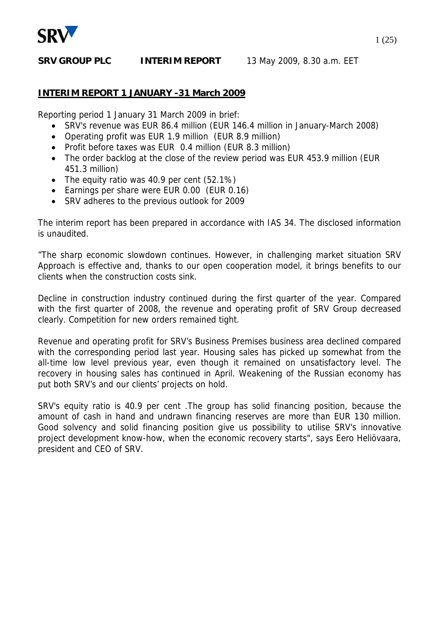

#### **INTERIM REPORT 1 JANUARY -31 March 2009**

Reporting period 1 January 31 March 2009 in brief:

- SRV's revenue was EUR 86.4 million (EUR 146.4 million in January-March 2008)
- Operating profit was EUR 1.9 million (EUR 8.9 million)
- Profit before taxes was EUR 0.4 million (EUR 8.3 million)
- The order backlog at the close of the review period was EUR 453.9 million (EUR 451.3 million)
- The equity ratio was 40.9 per cent (52.1%)
- Earnings per share were EUR 0.00 (EUR 0.16)
- SRV adheres to the previous outlook for 2009

The interim report has been prepared in accordance with IAS 34. The disclosed information is unaudited.

"The sharp economic slowdown continues. However, in challenging market situation SRV Approach is effective and, thanks to our open cooperation model, it brings benefits to our clients when the construction costs sink.

Decline in construction industry continued during the first quarter of the year. Compared with the first quarter of 2008, the revenue and operating profit of SRV Group decreased clearly. Competition for new orders remained tight.

Revenue and operating profit for SRV's Business Premises business area declined compared with the corresponding period last year. Housing sales has picked up somewhat from the all-time low level previous year, even though it remained on unsatisfactory level. The recovery in housing sales has continued in April. Weakening of the Russian economy has put both SRV's and our clients' projects on hold.

SRV's equity ratio is 40.9 per cent .The group has solid financing position, because the amount of cash in hand and undrawn financing reserves are more than EUR 130 million. Good solvency and solid financing position give us possibility to utilise SRV's innovative project development know-how, when the economic recovery starts", says Eero Heliövaara, president and CEO of SRV.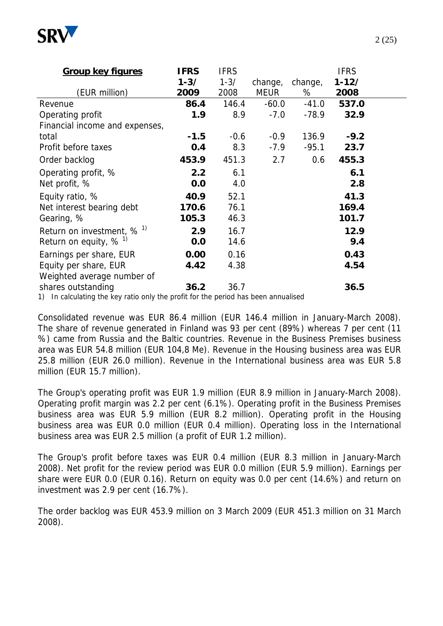

| <b>Group key figures</b>                                                                                 | <b>IFRS</b> | <b>IFRS</b> |             |         | <b>IFRS</b> |  |
|----------------------------------------------------------------------------------------------------------|-------------|-------------|-------------|---------|-------------|--|
|                                                                                                          | $1 - 3/$    | $1 - 3/$    | change,     | change, | $1 - 12/$   |  |
| (EUR million)                                                                                            | 2009        | 2008        | <b>MEUR</b> | %       | 2008        |  |
| Revenue                                                                                                  | 86.4        | 146.4       | $-60.0$     | $-41.0$ | 537.0       |  |
| Operating profit                                                                                         | 1.9         | 8.9         | $-7.0$      | $-78.9$ | 32.9        |  |
| Financial income and expenses,                                                                           |             |             |             |         |             |  |
| total                                                                                                    | $-1.5$      | $-0.6$      | $-0.9$      | 136.9   | $-9.2$      |  |
| Profit before taxes                                                                                      | 0.4         | 8.3         | $-7.9$      | $-95.1$ | 23.7        |  |
| Order backlog                                                                                            | 453.9       | 451.3       | 2.7         | 0.6     | 455.3       |  |
| Operating profit, %                                                                                      | 2.2         | 6.1         |             |         | 6.1         |  |
| Net profit, %                                                                                            | 0.0         | 4.0         |             |         | 2.8         |  |
| Equity ratio, %                                                                                          | 40.9        | 52.1        |             |         | 41.3        |  |
| Net interest bearing debt                                                                                | 170.6       | 76.1        |             |         | 169.4       |  |
| Gearing, %                                                                                               | 105.3       | 46.3        |             |         | 101.7       |  |
| Return on investment, $% ^{1}$                                                                           | 2.9         | 16.7        |             |         | 12.9        |  |
| Return on equity, $% ^{1}$                                                                               | 0.0         | 14.6        |             |         | 9.4         |  |
| Earnings per share, EUR                                                                                  | 0.00        | 0.16        |             |         | 0.43        |  |
| Equity per share, EUR                                                                                    | 4.42        | 4.38        |             |         | 4.54        |  |
| Weighted average number of                                                                               |             |             |             |         |             |  |
| shares outstanding<br>1) In calculating the key ratio only the profit for the period has been appualised | 36.2        | 36.7        |             |         | 36.5        |  |

1) In calculating the key ratio only the profit for the period has been annualised

Consolidated revenue was EUR 86.4 million (EUR 146.4 million in January-March 2008). The share of revenue generated in Finland was 93 per cent (89%) whereas 7 per cent (11 %) came from Russia and the Baltic countries. Revenue in the Business Premises business area was EUR 54.8 million (EUR 104,8 Me). Revenue in the Housing business area was EUR 25.8 million (EUR 26.0 million). Revenue in the International business area was EUR 5.8 million (EUR 15.7 million).

The Group's operating profit was EUR 1.9 million (EUR 8.9 million in January-March 2008). Operating profit margin was 2.2 per cent (6.1%). Operating profit in the Business Premises business area was EUR 5.9 million (EUR 8.2 million). Operating profit in the Housing business area was EUR 0.0 million (EUR 0.4 million). Operating loss in the International business area was EUR 2.5 million (a profit of EUR 1.2 million).

The Group's profit before taxes was EUR 0.4 million (EUR 8.3 million in January-March 2008). Net profit for the review period was EUR 0.0 million (EUR 5.9 million). Earnings per share were EUR 0.0 (EUR 0.16). Return on equity was 0.0 per cent (14.6%) and return on investment was 2.9 per cent (16.7%).

The order backlog was EUR 453.9 million on 3 March 2009 (EUR 451.3 million on 31 March 2008).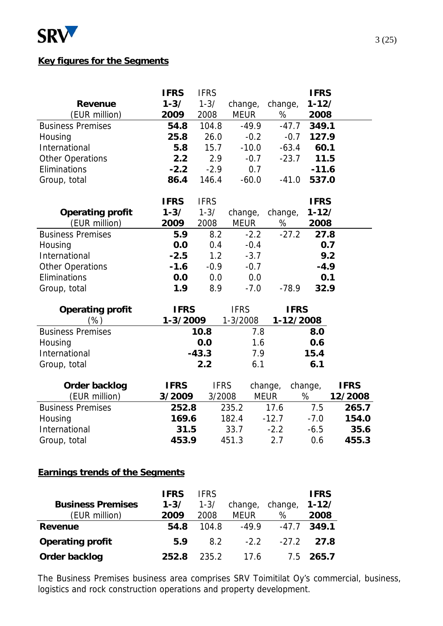

#### **Key figures for the Segments**

|                          | <b>IFRS</b> | <b>IFRS</b> |             |             | <b>IFRS</b> |             |
|--------------------------|-------------|-------------|-------------|-------------|-------------|-------------|
| <b>Revenue</b>           | $1 - 3/$    | $1 - 3/$    | change,     | change,     | $1 - 12/$   |             |
| (EUR million)            | 2009        | 2008        | <b>MEUR</b> | %           | 2008        |             |
| <b>Business Premises</b> | 54.8        | 104.8       | $-49.9$     | $-47.7$     | 349.1       |             |
| Housing                  | 25.8        | 26.0        | $-0.2$      | $-0.7$      | 127.9       |             |
| International            | 5.8         | 15.7        | $-10.0$     | $-63.4$     | 60.1        |             |
| <b>Other Operations</b>  | 2.2         | 2.9         | $-0.7$      | $-23.7$     | 11.5        |             |
| Eliminations             | $-2.2$      | $-2.9$      | 0.7         |             | $-11.6$     |             |
| Group, total             | 86.4        | 146.4       | $-60.0$     | $-41.0$     | 537.0       |             |
|                          | <b>IFRS</b> | <b>IFRS</b> |             |             | <b>IFRS</b> |             |
| <b>Operating profit</b>  | $1 - 3/$    | $1 - 3/$    | change,     | change,     | $1 - 12/$   |             |
| (EUR million)            | 2009        | 2008        | <b>MEUR</b> | %           | 2008        |             |
| <b>Business Premises</b> | 5.9         | 8.2         | $-2.2$      | $-27.2$     | 27.8        |             |
| Housing                  | 0.0         | 0.4         | $-0.4$      |             | 0.7         |             |
| International            | $-2.5$      | 1.2         | $-3.7$      |             | 9.2         |             |
| <b>Other Operations</b>  | $-1.6$      | $-0.9$      | $-0.7$      |             | $-4.9$      |             |
| Eliminations             | 0.0         | 0.0         | 0.0         |             | 0.1         |             |
| Group, total             | 1.9         | 8.9         | $-7.0$      | $-78.9$     | 32.9        |             |
| <b>Operating profit</b>  | <b>IFRS</b> |             | <b>IFRS</b> | <b>IFRS</b> |             |             |
| (%)                      | 1-3/2009    |             | 1-3/2008    | 1-12/2008   |             |             |
| <b>Business Premises</b> |             | 10.8        | 7.8         |             | 8.0         |             |
| Housing                  |             | 0.0         | 1.6         |             | 0.6         |             |
| International            |             | $-43.3$     | 7.9         |             | 15.4        |             |
| Group, total             |             | 2.2         | 6.1         |             | 6.1         |             |
| <b>Order backlog</b>     | <b>IFRS</b> | <b>IFRS</b> |             | change,     | change,     | <b>IFRS</b> |
| (EUR million)            | 3/2009      | 3/2008      |             | <b>MEUR</b> | %           | 12/2008     |

| <b>UIUCI DALNIUU</b>     | 11 INJ | 11 I N | vilatiya, vilatiya, |        | II NJ   |
|--------------------------|--------|--------|---------------------|--------|---------|
| (EUR million)            | 3/2009 | 3/2008 | <b>MEUR</b>         | %      | 12/2008 |
| <b>Business Premises</b> | 252.8  | 235.2  | 17.6                | 7.5    | 265.7   |
| Housing                  | 169.6  | 182.4  | $-12.7$             | $-7.0$ | 154.0   |
| International            | 31.5   | 33.7   | $-2.2$              | $-6.5$ | 35.6    |
| Group, total             | 453.9  | 451.3  | 2.7                 | 0.6    | 455.3   |
|                          |        |        |                     |        |         |

## **Earnings trends of the Segments**

|                          | <b>IFRS</b> | <b>IFRS</b> |             |         | <b>IFRS</b> |
|--------------------------|-------------|-------------|-------------|---------|-------------|
| <b>Business Premises</b> | $1 - 3/$    | $1 - 3/$    | change,     | change, | $1 - 12/$   |
| (EUR million)            | 2009        | 2008        | <b>MEUR</b> | %       | 2008        |
| Revenue                  | 54.8        | 104.8       | $-49.9$     | $-47.7$ | 349.1       |
| <b>Operating profit</b>  | 5.9         | 8.2         | $-2.2$      | $-27.2$ | 27.8        |
| Order backlog            | 252.8       | 235.2       | 17.6        | 7.5     | 265.7       |

The Business Premises business area comprises SRV Toimitilat Oy's commercial, business, logistics and rock construction operations and property development.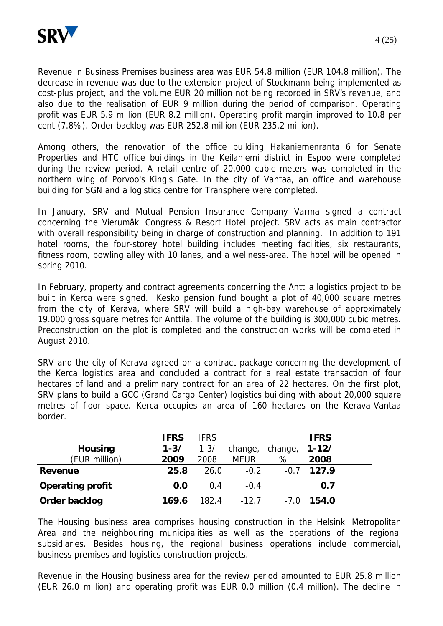

Revenue in Business Premises business area was EUR 54.8 million (EUR 104.8 million). The decrease in revenue was due to the extension project of Stockmann being implemented as cost-plus project, and the volume EUR 20 million not being recorded in SRV's revenue, and also due to the realisation of EUR 9 million during the period of comparison. Operating profit was EUR 5.9 million (EUR 8.2 million). Operating profit margin improved to 10.8 per cent (7.8%). Order backlog was EUR 252.8 million (EUR 235.2 million).

Among others, the renovation of the office building Hakaniemenranta 6 for Senate Properties and HTC office buildings in the Keilaniemi district in Espoo were completed during the review period. A retail centre of 20,000 cubic meters was completed in the northern wing of Porvoo's King's Gate. In the city of Vantaa, an office and warehouse building for SGN and a logistics centre for Transphere were completed.

In January, SRV and Mutual Pension Insurance Company Varma signed a contract concerning the Vierumäki Congress & Resort Hotel project. SRV acts as main contractor with overall responsibility being in charge of construction and planning. In addition to 191 hotel rooms, the four-storey hotel building includes meeting facilities, six restaurants, fitness room, bowling alley with 10 lanes, and a wellness-area. The hotel will be opened in spring 2010.

In February, property and contract agreements concerning the Anttila logistics project to be built in Kerca were signed. Kesko pension fund bought a plot of 40,000 square metres from the city of Kerava, where SRV will build a high-bay warehouse of approximately 19.000 gross square metres for Anttila. The volume of the building is 300,000 cubic metres. Preconstruction on the plot is completed and the construction works will be completed in August 2010.

SRV and the city of Kerava agreed on a contract package concerning the development of the Kerca logistics area and concluded a contract for a real estate transaction of four hectares of land and a preliminary contract for an area of 22 hectares. On the first plot, SRV plans to build a GCC (Grand Cargo Center) logistics building with about 20,000 square metres of floor space. Kerca occupies an area of 160 hectares on the Kerava-Vantaa border.

|                         | <b>IFRS</b> | <b>IFRS</b> |             |         | <b>IFRS</b> |  |
|-------------------------|-------------|-------------|-------------|---------|-------------|--|
| <b>Housing</b>          | $1 - 3/$    | $1 - 3/$    | change,     | change, | $1 - 12/$   |  |
| (EUR million)           | 2009        | 2008        | <b>MEUR</b> | %       | 2008        |  |
| <b>Revenue</b>          | 25.8        | 26.0        | $-0.2$      | $-0.7$  | 127.9       |  |
| <b>Operating profit</b> | 0.0         | 0.4         | $-0.4$      |         | 0.7         |  |
| Order backlog           | 169.6       | 182.4       | $-12.7$     | $-7.0$  | 154.0       |  |

The Housing business area comprises housing construction in the Helsinki Metropolitan Area and the neighbouring municipalities as well as the operations of the regional subsidiaries. Besides housing, the regional business operations include commercial, business premises and logistics construction projects.

Revenue in the Housing business area for the review period amounted to EUR 25.8 million (EUR 26.0 million) and operating profit was EUR 0.0 million (0.4 million). The decline in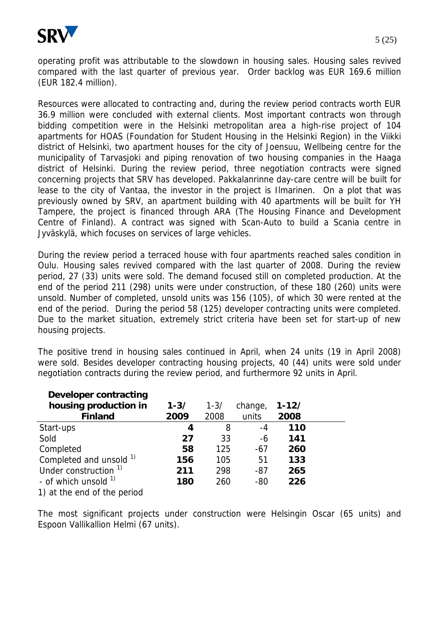

operating profit was attributable to the slowdown in housing sales. Housing sales revived compared with the last quarter of previous year. Order backlog was EUR 169.6 million (EUR 182.4 million).

Resources were allocated to contracting and, during the review period contracts worth EUR 36.9 million were concluded with external clients. Most important contracts won through bidding competition were in the Helsinki metropolitan area a high-rise project of 104 apartments for HOAS (Foundation for Student Housing in the Helsinki Region) in the Viikki district of Helsinki, two apartment houses for the city of Joensuu, Wellbeing centre for the municipality of Tarvasjoki and piping renovation of two housing companies in the Haaga district of Helsinki. During the review period, three negotiation contracts were signed concerning projects that SRV has developed. Pakkalanrinne day-care centre will be built for lease to the city of Vantaa, the investor in the project is Ilmarinen. On a plot that was previously owned by SRV, an apartment building with 40 apartments will be built for YH Tampere, the project is financed through ARA (The Housing Finance and Development Centre of Finland). A contract was signed with Scan-Auto to build a Scania centre in Jyväskylä, which focuses on services of large vehicles.

During the review period a terraced house with four apartments reached sales condition in Oulu. Housing sales revived compared with the last quarter of 2008. During the review period, 27 (33) units were sold. The demand focused still on completed production. At the end of the period 211 (298) units were under construction, of these 180 (260) units were unsold. Number of completed, unsold units was 156 (105), of which 30 were rented at the end of the period. During the period 58 (125) developer contracting units were completed. Due to the market situation, extremely strict criteria have been set for start-up of new housing projects.

The positive trend in housing sales continued in April, when 24 units (19 in April 2008) were sold. Besides developer contracting housing projects, 40 (44) units were sold under negotiation contracts during the review period, and furthermore 92 units in April.

| Developer contracting            |          |          |         |           |  |
|----------------------------------|----------|----------|---------|-----------|--|
| housing production in            | $1 - 3/$ | $1 - 3/$ | change, | $1 - 12/$ |  |
| <b>Finland</b>                   | 2009     | 2008     | units   | 2008      |  |
| Start-ups                        | 4        | 8        | -4      | 110       |  |
| Sold                             | 27       | 33       | -6      | 141       |  |
| Completed                        | 58       | 125      | $-67$   | 260       |  |
| Completed and unsold 1)          | 156      | 105      | 51      | 133       |  |
| Under construction <sup>1)</sup> | 211      | 298      | $-87$   | 265       |  |
| - of which unsold $1$            | 180      | 260      | $-80$   | 226       |  |
| 1) at the end of the period      |          |          |         |           |  |

The most significant projects under construction were Helsingin Oscar (65 units) and Espoon Vallikallion Helmi (67 units).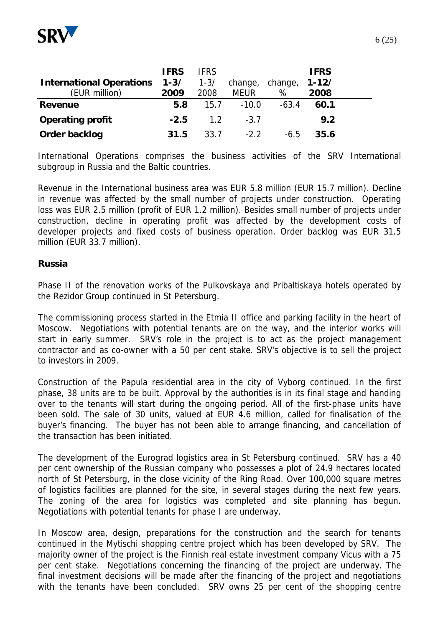

|                                 | <b>IFRS</b> | <b>IFRS</b> |             |                 | <b>IFRS</b> |  |
|---------------------------------|-------------|-------------|-------------|-----------------|-------------|--|
| <b>International Operations</b> | $1 - 3/$    | $1 - 3/$    | change,     | change, $1-12/$ |             |  |
| (EUR million)                   | 2009        | 2008        | <b>MEUR</b> | %               | 2008        |  |
| <b>Revenue</b>                  | 5.8         | 15.7        | $-10.0$     | $-63.4$         | 60.1        |  |
| <b>Operating profit</b>         | $-2.5$      | 1.2         | $-3.7$      |                 | 9.2         |  |
| Order backlog                   | 31.5        | 33.7        | $-2.2$      | $-6.5$          | 35.6        |  |

International Operations comprises the business activities of the SRV International subgroup in Russia and the Baltic countries.

Revenue in the International business area was EUR 5.8 million (EUR 15.7 million). Decline in revenue was affected by the small number of projects under construction. Operating loss was EUR 2.5 million (profit of EUR 1.2 million). Besides small number of projects under construction, decline in operating profit was affected by the development costs of developer projects and fixed costs of business operation. Order backlog was EUR 31.5 million (EUR 33.7 million).

#### **Russia**

Phase II of the renovation works of the Pulkovskaya and Pribaltiskaya hotels operated by the Rezidor Group continued in St Petersburg.

The commissioning process started in the Etmia II office and parking facility in the heart of Moscow. Negotiations with potential tenants are on the way, and the interior works will start in early summer. SRV's role in the project is to act as the project management contractor and as co-owner with a 50 per cent stake. SRV's objective is to sell the project to investors in 2009.

Construction of the Papula residential area in the city of Vyborg continued. In the first phase, 38 units are to be built. Approval by the authorities is in its final stage and handing over to the tenants will start during the ongoing period. All of the first-phase units have been sold. The sale of 30 units, valued at EUR 4.6 million, called for finalisation of the buyer's financing. The buyer has not been able to arrange financing, and cancellation of the transaction has been initiated.

The development of the Eurograd logistics area in St Petersburg continued. SRV has a 40 per cent ownership of the Russian company who possesses a plot of 24.9 hectares located north of St Petersburg, in the close vicinity of the Ring Road. Over 100,000 square metres of logistics facilities are planned for the site, in several stages during the next few years. The zoning of the area for logistics was completed and site planning has begun. Negotiations with potential tenants for phase I are underway.

In Moscow area, design, preparations for the construction and the search for tenants continued in the Mytischi shopping centre project which has been developed by SRV. The majority owner of the project is the Finnish real estate investment company Vicus with a 75 per cent stake. Negotiations concerning the financing of the project are underway. The final investment decisions will be made after the financing of the project and negotiations with the tenants have been concluded. SRV owns 25 per cent of the shopping centre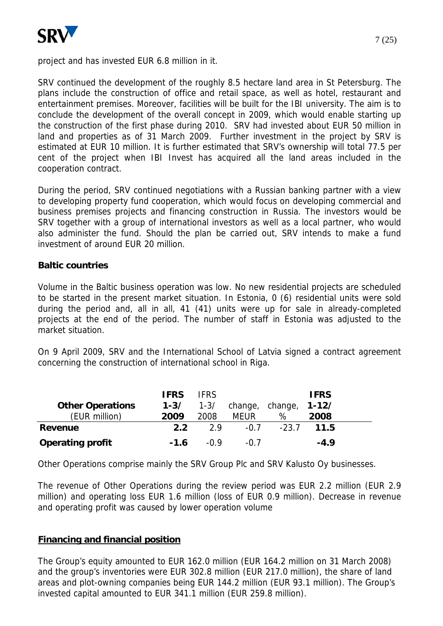

project and has invested EUR 6.8 million in it.

SRV continued the development of the roughly 8.5 hectare land area in St Petersburg. The plans include the construction of office and retail space, as well as hotel, restaurant and entertainment premises. Moreover, facilities will be built for the IBI university. The aim is to conclude the development of the overall concept in 2009, which would enable starting up the construction of the first phase during 2010. SRV had invested about EUR 50 million in land and properties as of 31 March 2009. Further investment in the project by SRV is estimated at EUR 10 million. It is further estimated that SRV's ownership will total 77.5 per cent of the project when IBI Invest has acquired all the land areas included in the cooperation contract.

During the period, SRV continued negotiations with a Russian banking partner with a view to developing property fund cooperation, which would focus on developing commercial and business premises projects and financing construction in Russia. The investors would be SRV together with a group of international investors as well as a local partner, who would also administer the fund. Should the plan be carried out, SRV intends to make a fund investment of around EUR 20 million.

#### **Baltic countries**

Volume in the Baltic business operation was low. No new residential projects are scheduled to be started in the present market situation. In Estonia, 0 (6) residential units were sold during the period and, all in all, 41 (41) units were up for sale in already-completed projects at the end of the period. The number of staff in Estonia was adjusted to the market situation.

On 9 April 2009, SRV and the International School of Latvia signed a contract agreement concerning the construction of international school in Riga.

|                         | <b>IFRS</b> | <b>IFRS</b> |                 |         | <b>IFRS</b> |  |
|-------------------------|-------------|-------------|-----------------|---------|-------------|--|
| <b>Other Operations</b> | $1 - 3/$    | $1 - 3/$    | change, change, |         | $1 - 12/$   |  |
| (EUR million)           | 2009        | 2008        | <b>MEUR</b>     | %       | 2008        |  |
| Revenue                 | 2.2         | 2.9         | $-0.7$          | $-23.7$ | 11.5        |  |
| <b>Operating profit</b> | $-1.6$      | -0.9        | $-0.7$          |         | $-4.9$      |  |

Other Operations comprise mainly the SRV Group Plc and SRV Kalusto Oy businesses.

The revenue of Other Operations during the review period was EUR 2.2 million (EUR 2.9 million) and operating loss EUR 1.6 million (loss of EUR 0.9 million). Decrease in revenue and operating profit was caused by lower operation volume

#### **Financing and financial position**

The Group's equity amounted to EUR 162.0 million (EUR 164.2 million on 31 March 2008) and the group's inventories were EUR 302.8 million (EUR 217.0 million), the share of land areas and plot-owning companies being EUR 144.2 million (EUR 93.1 million). The Group's invested capital amounted to EUR 341.1 million (EUR 259.8 million).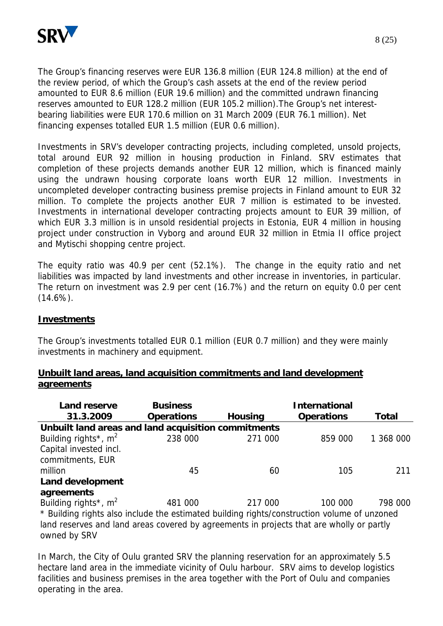

The Group's financing reserves were EUR 136.8 million (EUR 124.8 million) at the end of the review period, of which the Group's cash assets at the end of the review period amounted to EUR 8.6 million (EUR 19.6 million) and the committed undrawn financing reserves amounted to EUR 128.2 million (EUR 105.2 million).The Group's net interestbearing liabilities were EUR 170.6 million on 31 March 2009 (EUR 76.1 million). Net financing expenses totalled EUR 1.5 million (EUR 0.6 million).

Investments in SRV's developer contracting projects, including completed, unsold projects, total around EUR 92 million in housing production in Finland. SRV estimates that completion of these projects demands another EUR 12 million, which is financed mainly using the undrawn housing corporate loans worth EUR 12 million. Investments in uncompleted developer contracting business premise projects in Finland amount to EUR 32 million. To complete the projects another EUR 7 million is estimated to be invested. Investments in international developer contracting projects amount to EUR 39 million, of which EUR 3.3 million is in unsold residential projects in Estonia, EUR 4 million in housing project under construction in Vyborg and around EUR 32 million in Etmia II office project and Mytischi shopping centre project.

The equity ratio was 40.9 per cent (52.1%). The change in the equity ratio and net liabilities was impacted by land investments and other increase in inventories, in particular. The return on investment was 2.9 per cent (16.7%) and the return on equity 0.0 per cent  $(14.6\%)$ .

#### **Investments**

The Group's investments totalled EUR 0.1 million (EUR 0.7 million) and they were mainly investments in machinery and equipment.

| <b>Land reserve</b>                                                                         | <b>Business</b>   |                | <b>International</b> |           |
|---------------------------------------------------------------------------------------------|-------------------|----------------|----------------------|-----------|
| 31.3.2009                                                                                   | <b>Operations</b> | <b>Housing</b> | <b>Operations</b>    | Total     |
| Unbuilt land areas and land acquisition commitments                                         |                   |                |                      |           |
| Building rights <sup>*</sup> , $m2$                                                         | 238 000           | 271 000        | 859 000              | 1 368 000 |
| Capital invested incl.                                                                      |                   |                |                      |           |
| commitments, EUR                                                                            |                   |                |                      |           |
| million                                                                                     | 45                | 60             | 105                  | 211       |
| Land development                                                                            |                   |                |                      |           |
| agreements                                                                                  |                   |                |                      |           |
| Building rights <sup>*</sup> , $m^2$                                                        | 481 000           | 217 000        | 100 000              | 798 000   |
| * Building rights also include the estimated building rights/construction volume of unzoned |                   |                |                      |           |
| land reserves and land areas covered by agreements in projects that are wholly or partly    |                   |                |                      |           |
| owned by SRV                                                                                |                   |                |                      |           |

| Unbuilt land areas, land acquisition commitments and land development |  |  |  |
|-----------------------------------------------------------------------|--|--|--|
| agreements                                                            |  |  |  |

In March, the City of Oulu granted SRV the planning reservation for an approximately 5.5 hectare land area in the immediate vicinity of Oulu harbour. SRV aims to develop logistics facilities and business premises in the area together with the Port of Oulu and companies operating in the area.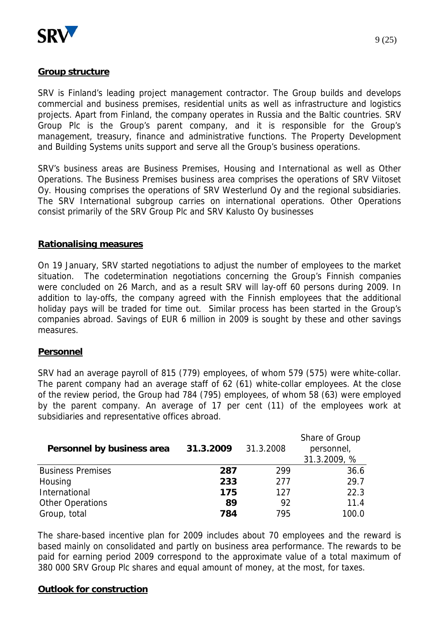

#### **Group structure**

SRV is Finland's leading project management contractor. The Group builds and develops commercial and business premises, residential units as well as infrastructure and logistics projects. Apart from Finland, the company operates in Russia and the Baltic countries. SRV Group Plc is the Group's parent company, and it is responsible for the Group's management, treasury, finance and administrative functions. The Property Development and Building Systems units support and serve all the Group's business operations.

SRV's business areas are Business Premises, Housing and International as well as Other Operations. The Business Premises business area comprises the operations of SRV Viitoset Oy. Housing comprises the operations of SRV Westerlund Oy and the regional subsidiaries. The SRV International subgroup carries on international operations. Other Operations consist primarily of the SRV Group Plc and SRV Kalusto Oy businesses

#### **Rationalising measures**

On 19 January, SRV started negotiations to adjust the number of employees to the market situation. The codetermination negotiations concerning the Group's Finnish companies were concluded on 26 March, and as a result SRV will lay-off 60 persons during 2009. In addition to lay-offs, the company agreed with the Finnish employees that the additional holiday pays will be traded for time out. Similar process has been started in the Group's companies abroad. Savings of EUR 6 million in 2009 is sought by these and other savings measures.

#### **Personnel**

SRV had an average payroll of 815 (779) employees, of whom 579 (575) were white-collar. The parent company had an average staff of 62 (61) white-collar employees. At the close of the review period, the Group had 784 (795) employees, of whom 58 (63) were employed by the parent company. An average of 17 per cent (11) of the employees work at subsidiaries and representative offices abroad.

| Personnel by business area | 31.3.2009 | 31.3.2008 | Share of Group<br>personnel,<br>31.3.2009, % |
|----------------------------|-----------|-----------|----------------------------------------------|
| <b>Business Premises</b>   | 287       | 299       | 36.6                                         |
| Housing                    | 233       | 277       | 29.7                                         |
| International              | 175       | 127       | 22.3                                         |
| <b>Other Operations</b>    | 89        | 92        | 11.4                                         |
| Group, total               | 784       | 795       | 100.0                                        |

The share-based incentive plan for 2009 includes about 70 employees and the reward is based mainly on consolidated and partly on business area performance. The rewards to be paid for earning period 2009 correspond to the approximate value of a total maximum of 380 000 SRV Group Plc shares and equal amount of money, at the most, for taxes.

#### **Outlook for construction**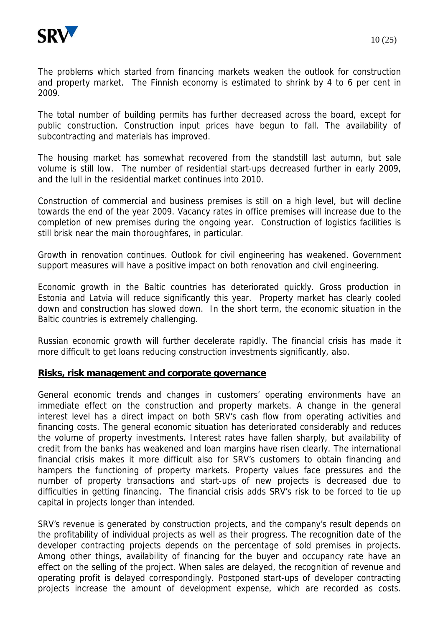

The problems which started from financing markets weaken the outlook for construction and property market. The Finnish economy is estimated to shrink by 4 to 6 per cent in 2009.

The total number of building permits has further decreased across the board, except for public construction. Construction input prices have begun to fall. The availability of subcontracting and materials has improved.

The housing market has somewhat recovered from the standstill last autumn, but sale volume is still low. The number of residential start-ups decreased further in early 2009, and the lull in the residential market continues into 2010.

Construction of commercial and business premises is still on a high level, but will decline towards the end of the year 2009. Vacancy rates in office premises will increase due to the completion of new premises during the ongoing year. Construction of logistics facilities is still brisk near the main thoroughfares, in particular.

Growth in renovation continues. Outlook for civil engineering has weakened. Government support measures will have a positive impact on both renovation and civil engineering.

Economic growth in the Baltic countries has deteriorated quickly. Gross production in Estonia and Latvia will reduce significantly this year. Property market has clearly cooled down and construction has slowed down. In the short term, the economic situation in the Baltic countries is extremely challenging.

Russian economic growth will further decelerate rapidly. The financial crisis has made it more difficult to get loans reducing construction investments significantly, also.

#### **Risks, risk management and corporate governance**

General economic trends and changes in customers' operating environments have an immediate effect on the construction and property markets. A change in the general interest level has a direct impact on both SRV's cash flow from operating activities and financing costs. The general economic situation has deteriorated considerably and reduces the volume of property investments. Interest rates have fallen sharply, but availability of credit from the banks has weakened and loan margins have risen clearly. The international financial crisis makes it more difficult also for SRV's customers to obtain financing and hampers the functioning of property markets. Property values face pressures and the number of property transactions and start-ups of new projects is decreased due to difficulties in getting financing. The financial crisis adds SRV's risk to be forced to tie up capital in projects longer than intended.

SRV's revenue is generated by construction projects, and the company's result depends on the profitability of individual projects as well as their progress. The recognition date of the developer contracting projects depends on the percentage of sold premises in projects. Among other things, availability of financing for the buyer and occupancy rate have an effect on the selling of the project. When sales are delayed, the recognition of revenue and operating profit is delayed correspondingly. Postponed start-ups of developer contracting projects increase the amount of development expense, which are recorded as costs.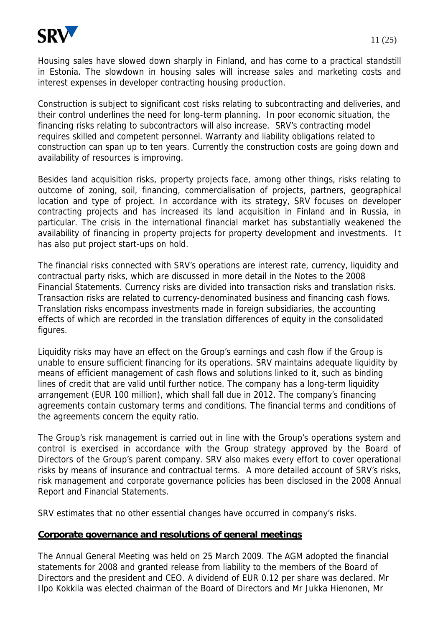

Housing sales have slowed down sharply in Finland, and has come to a practical standstill in Estonia. The slowdown in housing sales will increase sales and marketing costs and interest expenses in developer contracting housing production.

Construction is subject to significant cost risks relating to subcontracting and deliveries, and their control underlines the need for long-term planning. In poor economic situation, the financing risks relating to subcontractors will also increase. SRV's contracting model requires skilled and competent personnel. Warranty and liability obligations related to construction can span up to ten years. Currently the construction costs are going down and availability of resources is improving.

Besides land acquisition risks, property projects face, among other things, risks relating to outcome of zoning, soil, financing, commercialisation of projects, partners, geographical location and type of project. In accordance with its strategy, SRV focuses on developer contracting projects and has increased its land acquisition in Finland and in Russia, in particular. The crisis in the international financial market has substantially weakened the availability of financing in property projects for property development and investments. It has also put project start-ups on hold.

The financial risks connected with SRV's operations are interest rate, currency, liquidity and contractual party risks, which are discussed in more detail in the Notes to the 2008 Financial Statements. Currency risks are divided into transaction risks and translation risks. Transaction risks are related to currency-denominated business and financing cash flows. Translation risks encompass investments made in foreign subsidiaries, the accounting effects of which are recorded in the translation differences of equity in the consolidated figures.

Liquidity risks may have an effect on the Group's earnings and cash flow if the Group is unable to ensure sufficient financing for its operations. SRV maintains adequate liquidity by means of efficient management of cash flows and solutions linked to it, such as binding lines of credit that are valid until further notice. The company has a long-term liquidity arrangement (EUR 100 million), which shall fall due in 2012. The company's financing agreements contain customary terms and conditions. The financial terms and conditions of the agreements concern the equity ratio.

The Group's risk management is carried out in line with the Group's operations system and control is exercised in accordance with the Group strategy approved by the Board of Directors of the Group's parent company. SRV also makes every effort to cover operational risks by means of insurance and contractual terms. A more detailed account of SRV's risks, risk management and corporate governance policies has been disclosed in the 2008 Annual Report and Financial Statements.

SRV estimates that no other essential changes have occurred in company's risks.

#### **Corporate governance and resolutions of general meetings**

The Annual General Meeting was held on 25 March 2009. The AGM adopted the financial statements for 2008 and granted release from liability to the members of the Board of Directors and the president and CEO. A dividend of EUR 0.12 per share was declared. Mr Ilpo Kokkila was elected chairman of the Board of Directors and Mr Jukka Hienonen, Mr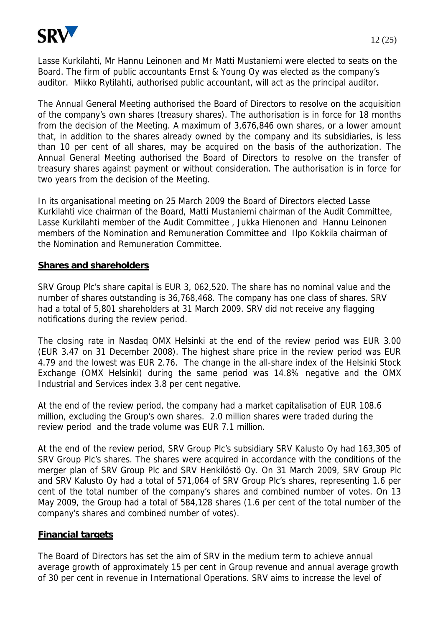

Lasse Kurkilahti, Mr Hannu Leinonen and Mr Matti Mustaniemi were elected to seats on the Board. The firm of public accountants Ernst & Young Oy was elected as the company's auditor. Mikko Rytilahti, authorised public accountant, will act as the principal auditor.

The Annual General Meeting authorised the Board of Directors to resolve on the acquisition of the company's own shares (treasury shares). The authorisation is in force for 18 months from the decision of the Meeting. A maximum of 3,676,846 own shares, or a lower amount that, in addition to the shares already owned by the company and its subsidiaries, is less than 10 per cent of all shares, may be acquired on the basis of the authorization. The Annual General Meeting authorised the Board of Directors to resolve on the transfer of treasury shares against payment or without consideration. The authorisation is in force for two years from the decision of the Meeting.

In its organisational meeting on 25 March 2009 the Board of Directors elected Lasse Kurkilahti vice chairman of the Board, Matti Mustaniemi chairman of the Audit Committee, Lasse Kurkilahti member of the Audit Committee , Jukka Hienonen and Hannu Leinonen members of the Nomination and Remuneration Committee and Ilpo Kokkila chairman of the Nomination and Remuneration Committee.

#### **Shares and shareholders**

SRV Group Plc's share capital is EUR 3, 062,520. The share has no nominal value and the number of shares outstanding is 36,768,468. The company has one class of shares. SRV had a total of 5,801 shareholders at 31 March 2009. SRV did not receive any flagging notifications during the review period.

The closing rate in Nasdaq OMX Helsinki at the end of the review period was EUR 3.00 (EUR 3.47 on 31 December 2008). The highest share price in the review period was EUR 4.79 and the lowest was EUR 2.76. The change in the all-share index of the Helsinki Stock Exchange (OMX Helsinki) during the same period was 14.8% negative and the OMX Industrial and Services index 3.8 per cent negative.

At the end of the review period, the company had a market capitalisation of EUR 108.6 million, excluding the Group's own shares. 2.0 million shares were traded during the review period and the trade volume was EUR 7.1 million.

At the end of the review period, SRV Group Plc's subsidiary SRV Kalusto Oy had 163,305 of SRV Group Plc's shares. The shares were acquired in accordance with the conditions of the merger plan of SRV Group Plc and SRV Henkilöstö Oy. On 31 March 2009, SRV Group Plc and SRV Kalusto Oy had a total of 571,064 of SRV Group Plc's shares, representing 1.6 per cent of the total number of the company's shares and combined number of votes. On 13 May 2009, the Group had a total of 584,128 shares (1.6 per cent of the total number of the company's shares and combined number of votes).

#### **Financial targets**

The Board of Directors has set the aim of SRV in the medium term to achieve annual average growth of approximately 15 per cent in Group revenue and annual average growth of 30 per cent in revenue in International Operations. SRV aims to increase the level of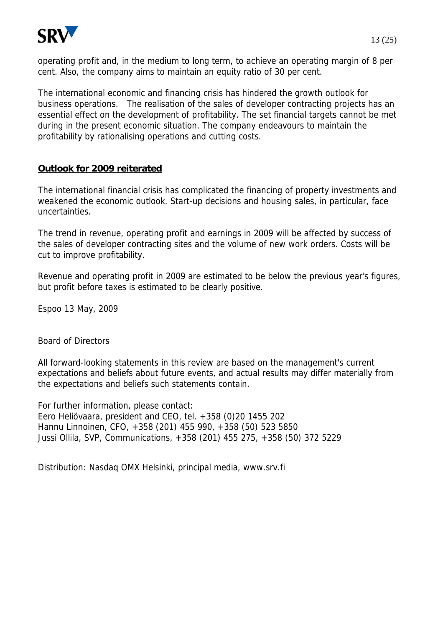

operating profit and, in the medium to long term, to achieve an operating margin of 8 per cent. Also, the company aims to maintain an equity ratio of 30 per cent.

The international economic and financing crisis has hindered the growth outlook for business operations. The realisation of the sales of developer contracting projects has an essential effect on the development of profitability. The set financial targets cannot be met during in the present economic situation. The company endeavours to maintain the profitability by rationalising operations and cutting costs.

#### **Outlook for 2009 reiterated**

The international financial crisis has complicated the financing of property investments and weakened the economic outlook. Start-up decisions and housing sales, in particular, face uncertainties.

The trend in revenue, operating profit and earnings in 2009 will be affected by success of the sales of developer contracting sites and the volume of new work orders. Costs will be cut to improve profitability.

Revenue and operating profit in 2009 are estimated to be below the previous year's figures, but profit before taxes is estimated to be clearly positive.

Espoo 13 May, 2009

Board of Directors

All forward-looking statements in this review are based on the management's current expectations and beliefs about future events, and actual results may differ materially from the expectations and beliefs such statements contain.

For further information, please contact:

Eero Heliövaara, president and CEO, tel. +358 (0)20 1455 202 Hannu Linnoinen, CFO, +358 (201) 455 990, +358 (50) 523 5850 Jussi Ollila, SVP, Communications, +358 (201) 455 275, +358 (50) 372 5229

Distribution: Nasdaq OMX Helsinki, principal media, www.srv.fi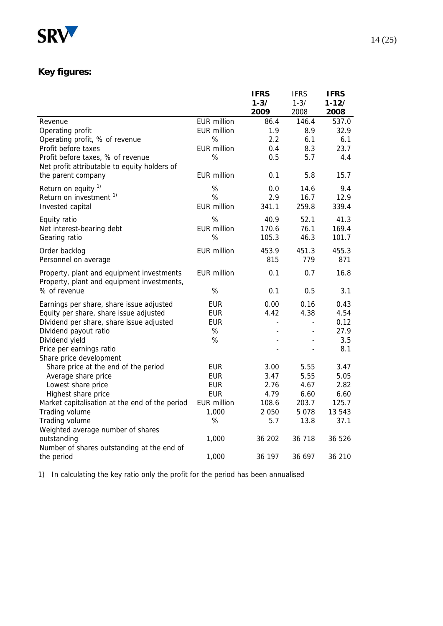

# **Key figures:**

|                                                                                         |                    | <b>IFRS</b>              | <b>IFRS</b>              | <b>IFRS</b>     |
|-----------------------------------------------------------------------------------------|--------------------|--------------------------|--------------------------|-----------------|
|                                                                                         |                    | $1 - 3/$                 | $1 - 3/$                 | $1 - 12/$       |
|                                                                                         |                    | 2009                     | 2008                     | 2008            |
| Revenue                                                                                 | <b>EUR million</b> | 86.4                     | 146.4                    | 537.0           |
| Operating profit                                                                        | <b>EUR million</b> | 1.9                      | 8.9                      | 32.9            |
| Operating profit, % of revenue                                                          | %                  | 2.2                      | 6.1                      | 6.1             |
| Profit before taxes                                                                     | <b>EUR million</b> | 0.4                      | 8.3                      | 23.7            |
| Profit before taxes, % of revenue                                                       | %                  | 0.5                      | 5.7                      | 4.4             |
| Net profit attributable to equity holders of                                            |                    |                          |                          |                 |
| the parent company                                                                      | <b>EUR million</b> | 0.1                      | 5.8                      | 15.7            |
| Return on equity 1)                                                                     | %                  | 0.0                      | 14.6                     | 9.4             |
| Return on investment <sup>1)</sup>                                                      | %                  | 2.9                      | 16.7                     | 12.9            |
| Invested capital                                                                        | <b>EUR million</b> | 341.1                    | 259.8                    | 339.4           |
|                                                                                         | %                  | 40.9                     | 52.1                     | 41.3            |
| Equity ratio                                                                            | <b>EUR million</b> | 170.6                    | 76.1                     | 169.4           |
| Net interest-bearing debt<br>Gearing ratio                                              | %                  | 105.3                    | 46.3                     | 101.7           |
|                                                                                         |                    |                          |                          |                 |
| Order backlog                                                                           | <b>EUR million</b> | 453.9                    | 451.3                    | 455.3           |
| Personnel on average                                                                    |                    | 815                      | 779                      | 871             |
| Property, plant and equipment investments<br>Property, plant and equipment investments, | <b>EUR million</b> | 0.1                      | 0.7                      | 16.8            |
| % of revenue                                                                            | $\%$               | 0.1                      | 0.5                      | 3.1             |
| Earnings per share, share issue adjusted                                                | <b>EUR</b>         | 0.00                     | 0.16                     | 0.43            |
| Equity per share, share issue adjusted                                                  | <b>EUR</b>         | 4.42                     | 4.38                     | 4.54            |
| Dividend per share, share issue adjusted                                                | <b>EUR</b>         | $\overline{\phantom{a}}$ | $\overline{\phantom{0}}$ | 0.12            |
| Dividend payout ratio                                                                   | $\%$               |                          |                          | 27.9            |
| Dividend yield                                                                          | %                  |                          |                          | 3.5             |
| Price per earnings ratio                                                                |                    |                          |                          | 8.1             |
| Share price development                                                                 |                    |                          |                          |                 |
| Share price at the end of the period                                                    | <b>EUR</b>         | 3.00                     | 5.55                     | 3.47            |
| Average share price                                                                     | <b>EUR</b>         | 3.47                     | 5.55                     | 5.05            |
| Lowest share price                                                                      | <b>EUR</b>         | 2.76                     | 4.67                     | 2.82            |
| Highest share price                                                                     | <b>EUR</b>         | 4.79                     | 6.60                     | 6.60            |
| Market capitalisation at the end of the period                                          | <b>EUR million</b> | 108.6<br>2 0 5 0         | 203.7<br>5 0 7 8         | 125.7<br>13 543 |
| Trading volume                                                                          | 1,000<br>%         | 5.7                      | 13.8                     | 37.1            |
| Trading volume<br>Weighted average number of shares                                     |                    |                          |                          |                 |
| outstanding                                                                             | 1,000              | 36 202                   | 36 718                   | 36 526          |
| Number of shares outstanding at the end of                                              |                    |                          |                          |                 |
| the period                                                                              | 1,000              | 36 197                   | 36 697                   | 36 210          |

1) In calculating the key ratio only the profit for the period has been annualised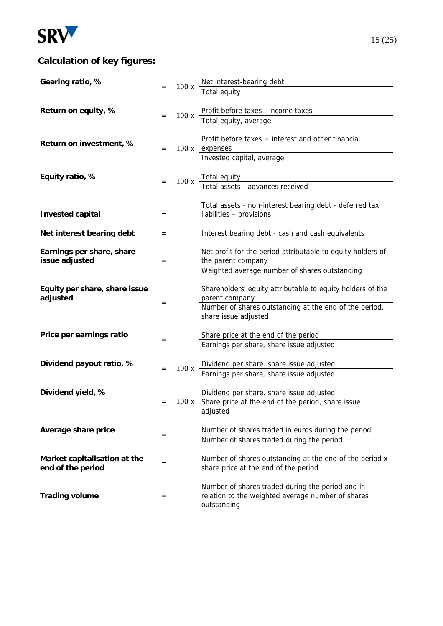

## **Calculation of key figures:**

| Gearing ratio, %                                  |     |      |                                                                                                       |
|---------------------------------------------------|-----|------|-------------------------------------------------------------------------------------------------------|
|                                                   |     |      | 100 x Net interest-bearing debt<br>Total equity                                                       |
| Return on equity, %                               |     |      | Profit before taxes - income taxes                                                                    |
|                                                   | $=$ | 100x | Total equity, average                                                                                 |
|                                                   |     |      | Profit before taxes + interest and other financial                                                    |
| Return on investment, %                           | $=$ |      | 100 x expenses                                                                                        |
|                                                   |     |      | Invested capital, average                                                                             |
| Equity ratio, %                                   |     |      |                                                                                                       |
|                                                   |     |      | 100 x Total equity<br>Total assets - advances received                                                |
|                                                   |     |      | Total assets - non-interest bearing debt - deferred tax                                               |
| <b>Invested capital</b>                           | $=$ |      | liabilities - provisions                                                                              |
| Net interest bearing debt                         | $=$ |      | Interest bearing debt - cash and cash equivalents                                                     |
|                                                   |     |      |                                                                                                       |
| Earnings per share, share<br>issue adjusted       | $=$ |      | Net profit for the period attributable to equity holders of<br>the parent company                     |
|                                                   |     |      | Weighted average number of shares outstanding                                                         |
| Equity per share, share issue                     |     |      | Shareholders' equity attributable to equity holders of the                                            |
| adjusted                                          | $=$ |      | parent company                                                                                        |
|                                                   |     |      | Number of shares outstanding at the end of the period,<br>share issue adjusted                        |
|                                                   |     |      |                                                                                                       |
| Price per earnings ratio                          | $=$ |      | Share price at the end of the period<br>Earnings per share, share issue adjusted                      |
|                                                   |     |      |                                                                                                       |
| Dividend payout ratio, %                          | $=$ | 100x | Dividend per share. share issue adjusted<br>Earnings per share, share issue adjusted                  |
|                                                   |     |      |                                                                                                       |
| Dividend yield, %                                 |     |      | Dividend per share. share issue adjusted                                                              |
|                                                   | $=$ |      | 100 x Share price at the end of the period, share issue<br>adjusted                                   |
|                                                   |     |      |                                                                                                       |
| Average share price                               | $=$ |      | Number of shares traded in euros during the period<br>Number of shares traded during the period       |
|                                                   |     |      |                                                                                                       |
| Market capitalisation at the<br>end of the period | $=$ |      | Number of shares outstanding at the end of the period x<br>share price at the end of the period       |
|                                                   |     |      |                                                                                                       |
| <b>Trading volume</b>                             | $=$ |      | Number of shares traded during the period and in<br>relation to the weighted average number of shares |
|                                                   |     |      | outstanding                                                                                           |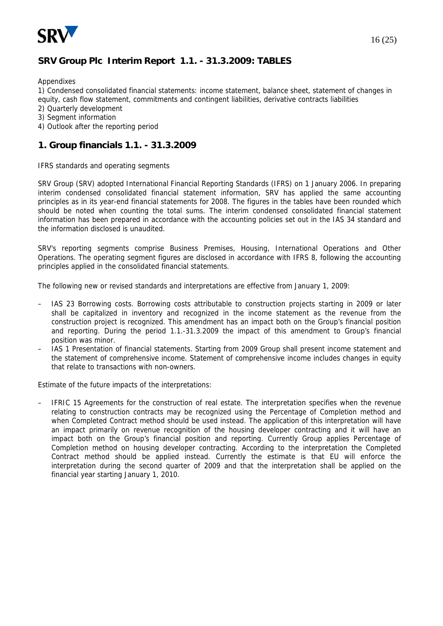

#### **SRV Group Plc Interim Report 1.1. - 31.3.2009: TABLES**

Appendixes

1) Condensed consolidated financial statements: income statement, balance sheet, statement of changes in equity, cash flow statement, commitments and contingent liabilities, derivative contracts liabilities

- 2) Quarterly development
- 3) Segment information
- 4) Outlook after the reporting period

#### **1. Group financials 1.1. - 31.3.2009**

IFRS standards and operating segments

SRV Group (SRV) adopted International Financial Reporting Standards (IFRS) on 1 January 2006. In preparing interim condensed consolidated financial statement information, SRV has applied the same accounting principles as in its year-end financial statements for 2008. The figures in the tables have been rounded which should be noted when counting the total sums. The interim condensed consolidated financial statement information has been prepared in accordance with the accounting policies set out in the IAS 34 standard and the information disclosed is unaudited.

SRV's reporting segments comprise Business Premises, Housing, International Operations and Other Operations. The operating segment figures are disclosed in accordance with IFRS 8, following the accounting principles applied in the consolidated financial statements.

The following new or revised standards and interpretations are effective from January 1, 2009:

- IAS 23 Borrowing costs. Borrowing costs attributable to construction projects starting in 2009 or later shall be capitalized in inventory and recognized in the income statement as the revenue from the construction project is recognized. This amendment has an impact both on the Group's financial position and reporting. During the period 1.1.-31.3.2009 the impact of this amendment to Group's financial position was minor.
- IAS 1 Presentation of financial statements. Starting from 2009 Group shall present income statement and the statement of comprehensive income. Statement of comprehensive income includes changes in equity that relate to transactions with non-owners.

Estimate of the future impacts of the interpretations:

– IFRIC 15 Agreements for the construction of real estate. The interpretation specifies when the revenue relating to construction contracts may be recognized using the Percentage of Completion method and when Completed Contract method should be used instead. The application of this interpretation will have an impact primarily on revenue recognition of the housing developer contracting and it will have an impact both on the Group's financial position and reporting. Currently Group applies Percentage of Completion method on housing developer contracting. According to the interpretation the Completed Contract method should be applied instead. Currently the estimate is that EU will enforce the interpretation during the second quarter of 2009 and that the interpretation shall be applied on the financial year starting January 1, 2010.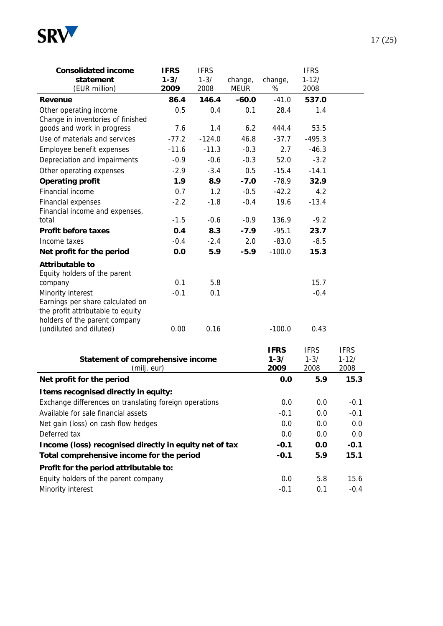

| <b>Consolidated income</b><br>statement<br>(EUR million)                                                                    | <b>IFRS</b><br>$1 - 3/$<br>2009 | <b>IFRS</b><br>$1 - 3/$<br>2008 | change,<br><b>MEUR</b> | change,<br>% | <b>IFRS</b><br>$1 - 12/$<br>2008 |  |
|-----------------------------------------------------------------------------------------------------------------------------|---------------------------------|---------------------------------|------------------------|--------------|----------------------------------|--|
| Revenue                                                                                                                     | 86.4                            | 146.4                           | $-60.0$                | $-41.0$      | 537.0                            |  |
| Other operating income<br>Change in inventories of finished                                                                 | 0.5                             | 0.4                             | 0.1                    | 28.4         | 1.4                              |  |
| goods and work in progress                                                                                                  | 7.6                             | 1.4                             | 6.2                    | 444.4        | 53.5                             |  |
| Use of materials and services                                                                                               | $-77.2$                         | $-124.0$                        | 46.8                   | $-37.7$      | $-495.3$                         |  |
| Employee benefit expenses                                                                                                   | $-11.6$                         | $-11.3$                         | $-0.3$                 | 2.7          | $-46.3$                          |  |
| Depreciation and impairments                                                                                                | $-0.9$                          | $-0.6$                          | $-0.3$                 | 52.0         | $-3.2$                           |  |
| Other operating expenses                                                                                                    | $-2.9$                          | $-3.4$                          | 0.5                    | $-15.4$      | $-14.1$                          |  |
| <b>Operating profit</b>                                                                                                     | 1.9                             | 8.9                             | $-7.0$                 | $-78.9$      | 32.9                             |  |
| Financial income                                                                                                            | 0.7                             | 1.2                             | $-0.5$                 | $-42.2$      | 4.2                              |  |
| Financial expenses<br>Financial income and expenses,                                                                        | $-2.2$                          | $-1.8$                          | $-0.4$                 | 19.6         | $-13.4$                          |  |
| total                                                                                                                       | $-1.5$                          | $-0.6$                          | $-0.9$                 | 136.9        | $-9.2$                           |  |
| <b>Profit before taxes</b>                                                                                                  | 0.4                             | 8.3                             | $-7.9$                 | $-95.1$      | 23.7                             |  |
| Income taxes                                                                                                                | $-0.4$                          | $-2.4$                          | 2.0                    | $-83.0$      | $-8.5$                           |  |
| Net profit for the period                                                                                                   | 0.0                             | 5.9                             | $-5.9$                 | $-100.0$     | 15.3                             |  |
| Attributable to<br>Equity holders of the parent                                                                             |                                 |                                 |                        |              |                                  |  |
| company                                                                                                                     | 0.1                             | 5.8                             |                        |              | 15.7                             |  |
| Minority interest<br>Earnings per share calculated on<br>the profit attributable to equity<br>holders of the parent company | $-0.1$                          | 0.1                             |                        |              | $-0.4$                           |  |
| (undiluted and diluted)                                                                                                     | 0.00                            | 0.16                            |                        | $-100.0$     | 0.43                             |  |

| Statement of comprehensive income<br>(milj. eur)       | <b>IFRS</b><br>$1 - 3/$<br>2009 | <b>IFRS</b><br>$1 - 3/$<br>2008 | <b>IFRS</b><br>$1 - 12/$<br>2008 |
|--------------------------------------------------------|---------------------------------|---------------------------------|----------------------------------|
| Net profit for the period                              | 0.0                             | 5.9                             | 15.3                             |
| I tems recognised directly in equity:                  |                                 |                                 |                                  |
| Exchange differences on translating foreign operations | 0.0                             | 0.0                             | $-0.1$                           |
| Available for sale financial assets                    | $-0.1$                          | 0.0                             | $-0.1$                           |
| Net gain (loss) on cash flow hedges                    | 0.0                             | 0.0                             | 0.0                              |
| Deferred tax                                           | 0.0                             | 0.0                             | 0.0                              |
| Income (loss) recognised directly in equity net of tax | $-0.1$                          | 0.0                             | $-0.1$                           |
| Total comprehensive income for the period              | $-0.1$                          | 5.9                             | 15.1                             |
| Profit for the period attributable to:                 |                                 |                                 |                                  |
| Equity holders of the parent company                   | 0.0                             | 5.8                             | 15.6                             |
| Minority interest                                      | $-0.1$                          | 0.1                             | $-0.4$                           |

#### $17(25)$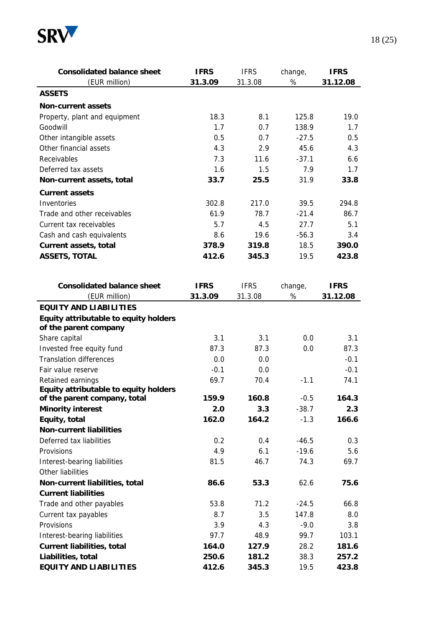

| <b>Consolidated balance sheet</b>                              | <b>IFRS</b> | <b>IFRS</b> | change, | <b>IFRS</b> |
|----------------------------------------------------------------|-------------|-------------|---------|-------------|
| (EUR million)                                                  | 31.3.09     | 31.3.08     | $\%$    | 31.12.08    |
| <b>ASSETS</b>                                                  |             |             |         |             |
| <b>Non-current assets</b>                                      |             |             |         |             |
| Property, plant and equipment                                  | 18.3        | 8.1         | 125.8   | 19.0        |
| Goodwill                                                       | 1.7         | 0.7         | 138.9   | 1.7         |
| Other intangible assets                                        | 0.5         | 0.7         | $-27.5$ | 0.5         |
| Other financial assets                                         | 4.3         | 2.9         | 45.6    | 4.3         |
| Receivables                                                    | 7.3         | 11.6        | $-37.1$ | 6.6         |
| Deferred tax assets                                            | 1.6         | 1.5         | 7.9     | 1.7         |
| Non-current assets, total                                      | 33.7        | 25.5        | 31.9    | 33.8        |
| <b>Current assets</b>                                          |             |             |         |             |
| Inventories                                                    | 302.8       | 217.0       | 39.5    | 294.8       |
| Trade and other receivables                                    | 61.9        | 78.7        | $-21.4$ | 86.7        |
| Current tax receivables                                        | 5.7         | 4.5         | 27.7    | 5.1         |
| Cash and cash equivalents                                      | 8.6         | 19.6        | $-56.3$ | 3.4         |
| Current assets, total                                          | 378.9       | 319.8       | 18.5    | 390.0       |
| <b>ASSETS, TOTAL</b>                                           | 412.6       | 345.3       | 19.5    | 423.8       |
|                                                                |             |             |         |             |
| <b>Consolidated balance sheet</b>                              | <b>IFRS</b> | <b>IFRS</b> | change, | <b>IFRS</b> |
| (EUR million)                                                  | 31.3.09     | 31.3.08     | $\%$    | 31.12.08    |
| <b>EQUITY AND LIABILITIES</b>                                  |             |             |         |             |
| Equity attributable to equity holders<br>of the parent company |             |             |         |             |
| Share capital                                                  | 3.1         | 3.1         | 0.0     | 3.1         |
| Invested free equity fund                                      | 87.3        | 87.3        | 0.0     | 87.3        |
| <b>Translation differences</b>                                 | 0.0         | 0.0         |         | $-0.1$      |
| Fair value reserve                                             | $-0.1$      | 0.0         |         | $-0.1$      |
| Retained earnings                                              | 69.7        | 70.4        | $-1.1$  | 74.1        |
| Equity attributable to equity holders                          |             |             |         |             |
| of the parent company, total                                   | 159.9       | 160.8       | $-0.5$  | 164.3       |
| <b>Minority interest</b>                                       | 2.0         | 3.3         | $-38.7$ | 2.3         |
| Equity, total                                                  | 162.0       | 164.2       | $-1.3$  | 166.6       |
| <b>Non-current liabilities</b>                                 |             |             |         |             |
| Deferred tax liabilities                                       | 0.2         | 0.4         | $-46.5$ | 0.3         |
| Provisions                                                     | 4.9         | 6.1         | $-19.6$ | 5.6         |
| Interest-bearing liabilities                                   | 81.5        | 46.7        | 74.3    | 69.7        |
| Other liabilities                                              |             |             |         |             |
| Non-current liabilities, total                                 | 86.6        | 53.3        | 62.6    | 75.6        |
| <b>Current liabilities</b>                                     |             |             |         |             |
| Trade and other payables                                       | 53.8        | 71.2        | $-24.5$ | 66.8        |
| Current tax payables                                           | 8.7         | 3.5         | 147.8   | 8.0         |
| Provisions                                                     | 3.9         | 4.3         | $-9.0$  | 3.8         |
| Interest-bearing liabilities                                   | 97.7        | 48.9        | 99.7    | 103.1       |
| <b>Current liabilities, total</b>                              | 164.0       | 127.9       | 28.2    | 181.6       |
| Liabilities, total                                             | 250.6       | 181.2       | 38.3    | 257.2       |
| <b>EQUITY AND LIABILITIES</b>                                  | 412.6       | 345.3       | 19.5    | 423.8       |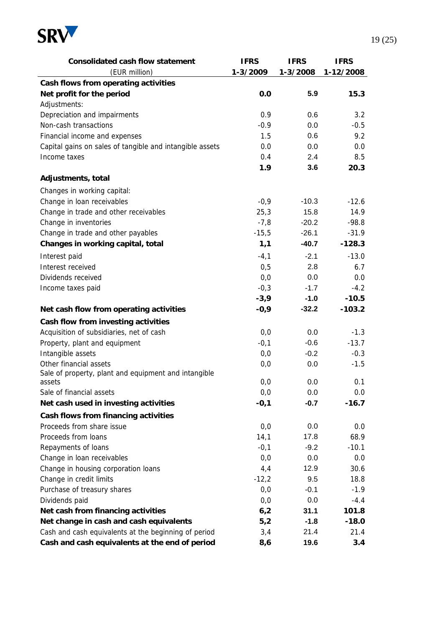

| <b>Consolidated cash flow statement</b>                  | <b>IFRS</b> | <b>IFRS</b> | <b>IFRS</b> |
|----------------------------------------------------------|-------------|-------------|-------------|
| (EUR million)                                            | 1-3/2009    | 1-3/2008    | 1-12/2008   |
| Cash flows from operating activities                     |             |             |             |
| Net profit for the period                                | 0.0         | 5.9         | 15.3        |
| Adjustments:                                             |             |             |             |
| Depreciation and impairments                             | 0.9         | 0.6         | 3.2         |
| Non-cash transactions                                    | $-0.9$      | 0.0         | $-0.5$      |
| Financial income and expenses                            | 1.5         | 0.6         | 9.2         |
| Capital gains on sales of tangible and intangible assets | 0.0         | 0.0         | 0.0         |
| Income taxes                                             | 0.4         | 2.4         | 8.5         |
|                                                          | 1.9         | 3.6         | 20.3        |
| Adjustments, total                                       |             |             |             |
| Changes in working capital:                              |             |             |             |
| Change in loan receivables                               | $-0,9$      | $-10.3$     | $-12.6$     |
| Change in trade and other receivables                    | 25,3        | 15.8        | 14.9        |
| Change in inventories                                    | $-7,8$      | $-20.2$     | $-98.8$     |
| Change in trade and other payables                       | $-15,5$     | $-26.1$     | $-31.9$     |
| Changes in working capital, total                        | 1,1         | $-40.7$     | $-128.3$    |
| Interest paid                                            | $-4,1$      | $-2.1$      | $-13.0$     |
| Interest received                                        | 0,5         | 2.8         | 6.7         |
| Dividends received                                       | 0,0         | 0.0         | 0.0         |
| Income taxes paid                                        | $-0,3$      | $-1.7$      | $-4.2$      |
|                                                          | $-3,9$      | $-1.0$      | $-10.5$     |
| Net cash flow from operating activities                  | $-0,9$      | $-32.2$     | $-103.2$    |
| Cash flow from investing activities                      |             |             |             |
| Acquisition of subsidiaries, net of cash                 | 0,0         | 0.0         | $-1.3$      |
| Property, plant and equipment                            | $-0,1$      | $-0.6$      | $-13.7$     |
| Intangible assets                                        | 0,0         | $-0.2$      | $-0.3$      |
| Other financial assets                                   | 0,0         | 0.0         | $-1.5$      |
| Sale of property, plant and equipment and intangible     |             |             |             |
| assets                                                   | 0,0         | 0.0         | 0.1         |
| Sale of financial assets                                 | 0,0         | 0.0         | 0.0         |
| Net cash used in investing activities                    | $-0,1$      | $-0.7$      | $-16.7$     |
| Cash flows from financing activities                     |             |             |             |
| Proceeds from share issue                                | 0,0         | 0.0         | 0.0         |
| Proceeds from loans                                      | 14,1        | 17.8        | 68.9        |
| Repayments of loans                                      | $-0,1$      | $-9.2$      | $-10.1$     |
| Change in loan receivables                               | 0,0         | 0.0         | 0.0         |
| Change in housing corporation loans                      | 4,4         | 12.9        | 30.6        |
| Change in credit limits                                  | $-12,2$     | 9.5         | 18.8        |
| Purchase of treasury shares                              | 0,0         | $-0.1$      | $-1.9$      |
| Dividends paid                                           | 0,0         | 0.0         | $-4.4$      |
| Net cash from financing activities                       | 6,2         | 31.1        | 101.8       |
| Net change in cash and cash equivalents                  | 5,2         | $-1.8$      | $-18.0$     |
| Cash and cash equivalents at the beginning of period     | 3,4         | 21.4        | 21.4        |
| Cash and cash equivalents at the end of period           | 8,6         | 19.6        | 3.4         |

**Cash and cash equivalents at the end of period 8,6 19.6 3.4**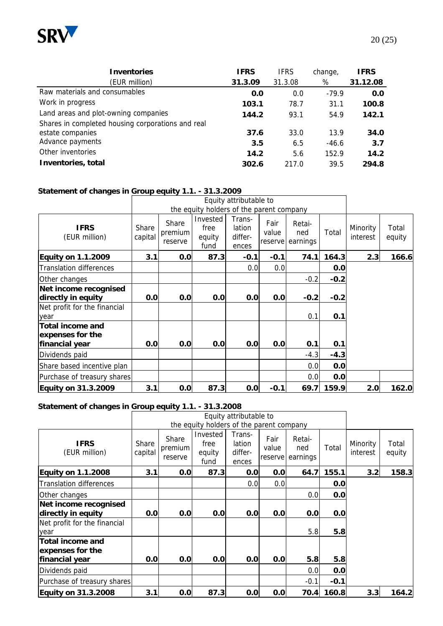

| <b>Inventories</b>                                | <b>IFRS</b> | <b>IFRS</b> | change, | <b>IFRS</b> |
|---------------------------------------------------|-------------|-------------|---------|-------------|
| (EUR million)                                     | 31.3.09     | 31.3.08     | %       | 31.12.08    |
| Raw materials and consumables                     | 0.0         | 0.0         | $-79.9$ | 0.0         |
| Work in progress                                  | 103.1       | 78.7        | 31.1    | 100.8       |
| Land areas and plot-owning companies              | 144.2       | 93.1        | 54.9    | 142.1       |
| Shares in completed housing corporations and real |             |             |         |             |
| estate companies                                  | 37.6        | 33.0        | 13.9    | 34.0        |
| Advance payments                                  | 3.5         | 6.5         | $-46.6$ | 3.7         |
| Other inventories                                 | 14.2        | 5.6         | 152.9   | 14.2        |
| Inventories, total                                | 302.6       | 217.0       | 39.5    | 294.8       |

#### **Statement of changes in Group equity 1.1. - 31.3.2009**

|                                             |                  |                             |                                          | Equity attributable to               |                          |                           |        |                      |                 |
|---------------------------------------------|------------------|-----------------------------|------------------------------------------|--------------------------------------|--------------------------|---------------------------|--------|----------------------|-----------------|
|                                             |                  |                             | the equity holders of the parent company |                                      |                          |                           |        |                      |                 |
| <b>IFRS</b><br>(EUR million)                | Share<br>capital | Share<br>premium<br>reserve | Invested<br>free<br>equity<br>fund       | Trans-<br>lation<br>differ-<br>ences | Fair<br>value<br>reserve | Retai-<br>ned<br>earnings | Total  | Minority<br>interest | Total<br>equity |
| <b>Equity on 1.1.2009</b>                   | 3.1              | 0.0                         | 87.3                                     | $-0.1$                               | $-0.1$                   | 74.1                      | 164.3  | 2.3                  | 166.6           |
| <b>Translation differences</b>              |                  |                             |                                          | 0.0                                  | 0.0                      |                           | 0.0    |                      |                 |
| Other changes                               |                  |                             |                                          |                                      |                          | $-0.2$                    | $-0.2$ |                      |                 |
| Net income recognised<br>directly in equity | 0.0              | 0.0                         | 0.0                                      | 0.0                                  | 0.0                      | $-0.2$                    | $-0.2$ |                      |                 |
| Net profit for the financial<br>year        |                  |                             |                                          |                                      |                          | 0.1                       | 0.1    |                      |                 |
| <b>Total income and</b><br>expenses for the |                  |                             |                                          |                                      |                          |                           |        |                      |                 |
| financial year                              | 0.0              | 0.0                         | 0.0                                      | 0.0                                  | 0.0                      | 0.1                       | 0.1    |                      |                 |
| Dividends paid                              |                  |                             |                                          |                                      |                          | $-4.3$                    | $-4.3$ |                      |                 |
| Share based incentive plan                  |                  |                             |                                          |                                      |                          | 0.0                       | 0.0    |                      |                 |
| Purchase of treasury shares                 |                  |                             |                                          |                                      |                          | 0.0                       | 0.0    |                      |                 |
| <b>Equity on 31.3.2009</b>                  | 3.1              | 0.0                         | 87.3                                     | 0.0                                  | $-0.1$                   | 69.7                      | 159.9  | 2.0                  | 162.0           |

#### **Statement of changes in Group equity 1.1. - 31.3.2008**

|                                                               |                  |                             |                                          | Equity attributable to               |                          |                           |        |                      |                 |
|---------------------------------------------------------------|------------------|-----------------------------|------------------------------------------|--------------------------------------|--------------------------|---------------------------|--------|----------------------|-----------------|
|                                                               |                  |                             | the equity holders of the parent company |                                      |                          |                           |        |                      |                 |
| <b>IFRS</b><br>(EUR million)                                  | Share<br>capital | Share<br>premium<br>reserve | Invested<br>free<br>equity<br>fund       | Trans-<br>lation<br>differ-<br>ences | Fair<br>value<br>reserve | Retai-<br>ned<br>earnings | Total  | Minority<br>interest | Total<br>equity |
| <b>Equity on 1.1.2008</b>                                     | 3.1              | 0.0                         | 87.3                                     | 0.0                                  | 0.0                      | 64.7                      | 155.1  | 3.2                  | 158.3           |
| <b>Translation differences</b>                                |                  |                             |                                          | 0.0                                  | 0.0                      |                           | 0.0    |                      |                 |
| Other changes                                                 |                  |                             |                                          |                                      |                          | 0.0                       | 0.0    |                      |                 |
| Net income recognised                                         |                  |                             |                                          |                                      |                          |                           |        |                      |                 |
| directly in equity                                            | 0.0              | 0.0                         | 0.0                                      | 0.0                                  | 0.0                      | 0.0                       | 0.0    |                      |                 |
| Net profit for the financial<br>year                          |                  |                             |                                          |                                      |                          | 5.8                       | 5.8    |                      |                 |
| <b>Total income and</b><br>expenses for the<br>financial year | 0.0              | 0.0                         | 0.0                                      | 0.0                                  | 0.0                      | 5.8                       | 5.8    |                      |                 |
| Dividends paid                                                |                  |                             |                                          |                                      |                          | 0.0                       | 0.0    |                      |                 |
|                                                               |                  |                             |                                          |                                      |                          |                           |        |                      |                 |
| Purchase of treasury shares                                   |                  |                             |                                          |                                      |                          | $-0.1$                    | $-0.1$ |                      |                 |
| <b>Equity on 31.3.2008</b>                                    | 3.1              | 0.0                         | 87.3                                     | 0.0                                  | 0.0                      | 70.4                      | 160.8  | 3.3                  | 164.2           |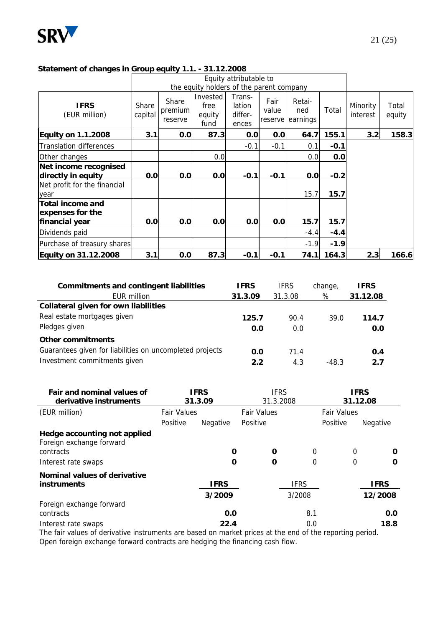

|                                             |                  |                             |                                          | Equity attributable to               |                          |                           |        |                      |                 |
|---------------------------------------------|------------------|-----------------------------|------------------------------------------|--------------------------------------|--------------------------|---------------------------|--------|----------------------|-----------------|
|                                             |                  |                             | the equity holders of the parent company |                                      |                          |                           |        |                      |                 |
| <b>IFRS</b><br>(EUR million)                | Share<br>capital | Share<br>premium<br>reserve | Invested<br>free<br>equity<br>fund       | Trans-<br>lation<br>differ-<br>ences | Fair<br>value<br>reserve | Retai-<br>ned<br>earnings | Total  | Minority<br>interest | Total<br>equity |
| <b>Equity on 1.1.2008</b>                   | 3.1              | 0.0                         | 87.3                                     | 0.0                                  | 0.0                      | 64.7                      | 155.1  | 3.2                  | 158.3           |
| <b>Translation differences</b>              |                  |                             |                                          | $-0.1$                               | $-0.1$                   | 0.1                       | $-0.1$ |                      |                 |
| Other changes                               |                  |                             | 0.0                                      |                                      |                          | 0.0                       | 0.0    |                      |                 |
| Net income recognised                       |                  |                             |                                          |                                      |                          |                           |        |                      |                 |
| directly in equity                          | 0.0              | 0.0                         | 0.0                                      | $-0.1$                               | $-0.1$                   | 0.0                       | $-0.2$ |                      |                 |
| Net profit for the financial<br>year        |                  |                             |                                          |                                      |                          | 15.7                      | 15.7   |                      |                 |
| <b>Total income and</b><br>expenses for the |                  |                             |                                          |                                      |                          |                           |        |                      |                 |
| financial year                              | 0.0              | 0.0                         | 0.0                                      | 0.0                                  | 0.0                      | 15.7                      | 15.7   |                      |                 |
| Dividends paid                              |                  |                             |                                          |                                      |                          | $-4.4$                    | $-4.4$ |                      |                 |
| Purchase of treasury shares                 |                  |                             |                                          |                                      |                          | $-1.9$                    | $-1.9$ |                      |                 |
| Equity on 31.12.2008                        | 3.1              | 0.0                         | 87.3                                     | $-0.1$                               | $-0.1$                   | 74.1                      | 164.3  | 2.3                  | 166.6           |

#### **Statement of changes in Group equity 1.1. - 31.12.2008**

| <b>Commitments and contingent liabilities</b>            | <b>IFRS</b> | <b>IFRS</b> | change, | <b>IFRS</b> |
|----------------------------------------------------------|-------------|-------------|---------|-------------|
| <b>EUR million</b>                                       | 31.3.09     | 31.3.08     | %       | 31.12.08    |
| Collateral given for own liabilities                     |             |             |         |             |
| Real estate mortgages given                              | 125.7       | 90.4        | 39.0    | 114.7       |
| Pledges given                                            | 0.0         | 0.0         |         | 0.0         |
| Other commitments                                        |             |             |         |             |
| Guarantees given for liabilities on uncompleted projects | 0.0         | 71.4        |         | 0.4         |
| Investment commitments given                             | 2.2         | 4.3         | $-48.3$ | 2.7         |

| Fair and nominal values of<br>derivative instruments     |                    | <b>IFRS</b><br>31.3.09 |                    | <b>IFRS</b><br>31.3.2008 |                    | <b>IFRS</b><br>31.12.08 |
|----------------------------------------------------------|--------------------|------------------------|--------------------|--------------------------|--------------------|-------------------------|
| (EUR million)                                            | <b>Fair Values</b> |                        | <b>Fair Values</b> |                          | <b>Fair Values</b> |                         |
|                                                          | Positive           | Negative               | Positive           |                          | Positive           | Negative                |
| Hedge accounting not applied<br>Foreign exchange forward |                    |                        |                    |                          |                    |                         |
| contracts                                                |                    | O                      | 0                  | 0                        | 0                  | 0                       |
| Interest rate swaps                                      |                    | 0                      | 0                  | 0                        | 0                  | 0                       |
| Nominal values of derivative                             |                    |                        |                    |                          |                    |                         |
| <b>instruments</b>                                       |                    | <b>IFRS</b>            |                    | <b>IFRS</b>              |                    | <b>IFRS</b>             |
|                                                          |                    | 3/2009                 |                    | 3/2008                   |                    | 12/2008                 |
| Foreign exchange forward                                 |                    |                        |                    |                          |                    |                         |
| contracts                                                |                    | 0.0                    |                    | 8.1                      |                    | 0.0                     |
| Interest rate swaps                                      |                    | 22.4                   |                    | 0.0                      |                    | 18.8                    |

The fair values of derivative instruments are based on market prices at the end of the reporting period. Open foreign exchange forward contracts are hedging the financing cash flow.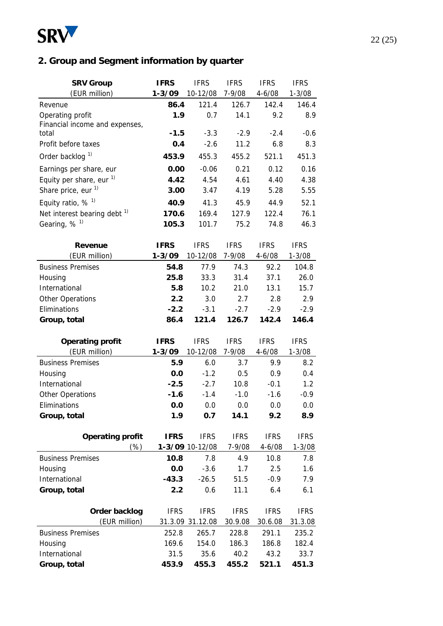

## **2. Group and Segment information by quarter**

| <b>SRV Group</b>                        | <b>IFRS</b>    | <b>IFRS</b>            | <b>IFRS</b>  | <b>IFRS</b>   | <b>IFRS</b>   |
|-----------------------------------------|----------------|------------------------|--------------|---------------|---------------|
| (EUR million)                           | $1 - 3/09$     | 10-12/08               | $7 - 9/08$   | $4 - 6/08$    | $1 - 3/08$    |
| Revenue                                 | 86.4           | 121.4                  | 126.7        | 142.4         | 146.4         |
| Operating profit                        | 1.9            | 0.7                    | 14.1         | 9.2           | 8.9           |
| Financial income and expenses,          |                |                        |              |               |               |
| total                                   | $-1.5$         | $-3.3$                 | $-2.9$       | $-2.4$        | $-0.6$        |
| Profit before taxes                     | 0.4            | $-2.6$                 | 11.2         | 6.8           | 8.3           |
| Order backlog <sup>1)</sup>             | 453.9          | 455.3                  | 455.2        | 521.1         | 451.3         |
| Earnings per share, eur                 | 0.00           | $-0.06$                | 0.21         | 0.12          | 0.16          |
| Equity per share, eur $1$ )             | 4.42           | 4.54                   | 4.61         | 4.40          | 4.38          |
| Share price, eur <sup>1)</sup>          | 3.00           | 3.47                   | 4.19         | 5.28          | 5.55          |
| Equity ratio, $%$ <sup>1)</sup>         | 40.9           | 41.3                   | 45.9         | 44.9          | 52.1          |
| Net interest bearing debt <sup>1)</sup> | 170.6          | 169.4                  | 127.9        | 122.4         | 76.1          |
| Gearing, $%$ <sup>1)</sup>              | 105.3          | 101.7                  | 75.2         | 74.8          | 46.3          |
| <b>Revenue</b>                          | <b>IFRS</b>    | <b>IFRS</b>            | <b>IFRS</b>  | <b>IFRS</b>   | <b>IFRS</b>   |
| (EUR million)                           | $1 - 3/09$     | 10-12/08               | 7-9/08       | $4 - 6/08$    | $1 - 3/08$    |
| <b>Business Premises</b>                | 54.8           | 77.9                   | 74.3         | 92.2          | 104.8         |
| Housing                                 | 25.8           | 33.3                   | 31.4         | 37.1          | 26.0          |
| International                           | 5.8            | 10.2                   | 21.0         | 13.1          | 15.7          |
| Other Operations                        | 2.2            | 3.0                    | 2.7          | 2.8           | 2.9           |
| Eliminations                            | $-2.2$         | $-3.1$                 | $-2.7$       | $-2.9$        | $-2.9$        |
| Group, total                            | 86.4           | 121.4                  | 126.7        | 142.4         | 146.4         |
|                                         |                |                        |              |               |               |
|                                         |                |                        |              |               |               |
| <b>Operating profit</b>                 | <b>IFRS</b>    | <b>IFRS</b>            | <b>IFRS</b>  | <b>IFRS</b>   | <b>IFRS</b>   |
| (EUR million)                           | $1 - 3/09$     | 10-12/08               | 7-9/08       | $4 - 6/08$    | $1 - 3/08$    |
| <b>Business Premises</b>                | 5.9            | 6.0                    | 3.7          | 9.9           | 8.2           |
| Housing                                 | 0.0            | $-1.2$                 | 0.5          | 0.9           | 0.4           |
| International                           | $-2.5$         | $-2.7$                 | 10.8         | $-0.1$        | 1.2           |
| Other Operations                        | $-1.6$         | $-1.4$                 | $-1.0$       | $-1.6$        | $-0.9$        |
| Eliminations                            | 0.0            | 0.0                    | 0.0          | 0.0           | 0.0           |
| Group, total                            | 1.9            | 0.7                    | 14.1         | 9.2           | 8.9           |
|                                         |                |                        |              |               |               |
| <b>Operating profit</b>                 | <b>IFRS</b>    | <b>IFRS</b>            | <b>IFRS</b>  | <b>IFRS</b>   | <b>IFRS</b>   |
| $(\%)$<br><b>Business Premises</b>      |                | 1-3/09 10-12/08<br>7.8 | 7-9/08       | $4 - 6/08$    | $1 - 3/08$    |
|                                         | 10.8           |                        | 4.9          | 10.8          | 7.8           |
| Housing                                 | 0.0            | $-3.6$                 | 1.7          | 2.5<br>$-0.9$ | 1.6           |
| International<br>Group, total           | $-43.3$<br>2.2 | $-26.5$<br>0.6         | 51.5<br>11.1 | 6.4           | 7.9<br>6.1    |
|                                         |                |                        |              |               |               |
| Order backlog                           | <b>IFRS</b>    | <b>IFRS</b>            | <b>IFRS</b>  | <b>IFRS</b>   | <b>IFRS</b>   |
| (EUR million)                           |                | 31.3.09 31.12.08       | 30.9.08      | 30.6.08       | 31.3.08       |
| <b>Business Premises</b>                | 252.8          | 265.7                  | 228.8        | 291.1         | 235.2         |
| Housing                                 | 169.6          | 154.0                  | 186.3        | 186.8         | 182.4         |
| International<br>Group, total           | 31.5<br>453.9  | 35.6<br>455.3          | 40.2         | 43.2<br>521.1 | 33.7<br>451.3 |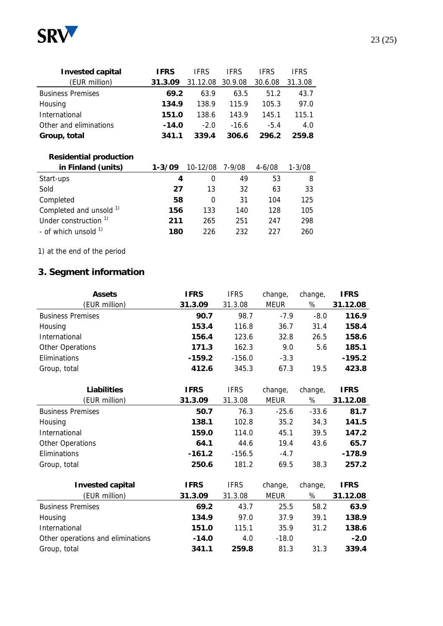

| <b>Invested capital</b>  | <b>IFRS</b> | <b>IFRS</b>      | <b>IFRS</b> | <b>IFRS</b> | IFRS    |
|--------------------------|-------------|------------------|-------------|-------------|---------|
| (EUR million)            | 31.3.09     | 31.12.08 30.9.08 |             | 30.6.08     | 31.3.08 |
| <b>Business Premises</b> | 69.2        | 63.9             | 63.5        | 51.2        | 43.7    |
| Housing                  | 134.9       | 138.9            | 115.9       | 105.3       | 97.0    |
| International            | 151.0       | 138.6            | 143.9       | 145.1       | 115.1   |
| Other and eliminations   | $-14.0$     | $-2.0$           | $-16.6$     | $-54$       | 4.0     |
| Group, total             | 341.1       | 339.4            | 306.6       | 296.2       | 259.8   |

### **Residential production**

| in Finland (units)                 | $1 - 3/09$ | 10-12/08 | 7-9/08 | $4 - 6/08$ | $1 - 3/08$ |
|------------------------------------|------------|----------|--------|------------|------------|
| Start-ups                          | 4          | $\Omega$ | 49     | 53         | 8          |
| Sold                               | 27         | 13       | 32     | 63         | 33         |
| Completed                          | 58         | 0        | 31     | 104        | 125        |
| Completed and unsold <sup>1)</sup> | 156        | 133      | 140    | 128        | 105        |
| Under construction <sup>1)</sup>   | 211        | 265      | 251    | 247        | 298        |
| - of which unsold $1$              | 180        | 226      | 232    | つつフ        | 260        |

1) at the end of the period

### **3. Segment information**

| <b>Assets</b>                     | <b>IFRS</b> | <b>IFRS</b> | change,     | change, | <b>IFRS</b> |
|-----------------------------------|-------------|-------------|-------------|---------|-------------|
| (EUR million)                     | 31.3.09     | 31.3.08     | <b>MEUR</b> | $\%$    | 31.12.08    |
| <b>Business Premises</b>          | 90.7        | 98.7        | $-7.9$      | $-8.0$  | 116.9       |
| Housing                           | 153.4       | 116.8       | 36.7        | 31.4    | 158.4       |
| International                     | 156.4       | 123.6       | 32.8        | 26.5    | 158.6       |
| Other Operations                  | 171.3       | 162.3       | 9.0         | 5.6     | 185.1       |
| Eliminations                      | $-159.2$    | $-156.0$    | $-3.3$      |         | $-195.2$    |
| Group, total                      | 412.6       | 345.3       | 67.3        | 19.5    | 423.8       |
|                                   |             |             |             |         |             |
| <b>Liabilities</b>                | <b>IFRS</b> | <b>IFRS</b> | change,     | change, | <b>IFRS</b> |
| (EUR million)                     | 31.3.09     | 31.3.08     | <b>MEUR</b> | %       | 31.12.08    |
| <b>Business Premises</b>          | 50.7        | 76.3        | $-25.6$     | $-33.6$ | 81.7        |
| Housing                           | 138.1       | 102.8       | 35.2        | 34.3    | 141.5       |
| International                     | 159.0       | 114.0       | 45.1        | 39.5    | 147.2       |
| Other Operations                  | 64.1        | 44.6        | 19.4        | 43.6    | 65.7        |
| Eliminations                      | $-161.2$    | $-156.5$    | $-4.7$      |         | $-178.9$    |
| Group, total                      | 250.6       | 181.2       | 69.5        | 38.3    | 257.2       |
|                                   |             |             |             |         |             |
| <b>Invested capital</b>           | <b>IFRS</b> | <b>IFRS</b> | change,     | change, | <b>IFRS</b> |
| (EUR million)                     | 31.3.09     | 31.3.08     | <b>MEUR</b> | %       | 31.12.08    |
| <b>Business Premises</b>          | 69.2        | 43.7        | 25.5        | 58.2    | 63.9        |
| Housing                           | 134.9       | 97.0        | 37.9        | 39.1    | 138.9       |
| International                     | 151.0       | 115.1       | 35.9        | 31.2    | 138.6       |
| Other operations and eliminations | $-14.0$     | 4.0         | $-18.0$     |         | $-2.0$      |
| Group, total                      | 341.1       | 259.8       | 81.3        | 31.3    | 339.4       |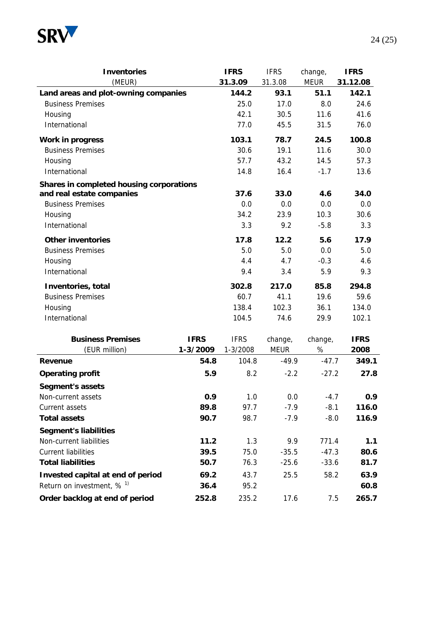

| <b>Inventories</b>                       |             | <b>IFRS</b> | <b>IFRS</b>     | change,             | <b>IFRS</b>       |  |
|------------------------------------------|-------------|-------------|-----------------|---------------------|-------------------|--|
| (MEUR)                                   |             | 31.3.09     | 31.3.08<br>93.1 | <b>MEUR</b><br>51.1 | 31.12.08<br>142.1 |  |
| Land areas and plot-owning companies     |             | 144.2       |                 |                     |                   |  |
| <b>Business Premises</b>                 |             | 25.0        | 17.0            | 8.0                 | 24.6              |  |
| Housing                                  |             | 42.1        | 30.5            | 11.6                | 41.6              |  |
| International                            |             | 77.0        | 45.5            | 31.5                | 76.0              |  |
| <b>Work in progress</b>                  |             | 103.1       | 78.7            | 24.5                | 100.8             |  |
| <b>Business Premises</b>                 |             | 30.6        | 19.1            | 11.6                | 30.0              |  |
| Housing                                  |             | 57.7        | 43.2            | 14.5                | 57.3              |  |
| International                            |             | 14.8        | 16.4            | $-1.7$              | 13.6              |  |
| Shares in completed housing corporations |             |             |                 |                     |                   |  |
| and real estate companies                |             | 37.6        | 33.0            | 4.6                 | 34.0              |  |
| <b>Business Premises</b>                 |             | 0.0         | 0.0             | 0.0                 | 0.0               |  |
| Housing                                  |             | 34.2        | 23.9            | 10.3                | 30.6              |  |
| International                            |             | 3.3         | 9.2             | $-5.8$              | 3.3               |  |
| <b>Other inventories</b>                 |             | 17.8        | 12.2            | 5.6                 | 17.9              |  |
| <b>Business Premises</b>                 |             | 5.0         | 5.0             | 0.0                 | 5.0               |  |
| Housing                                  |             | 4.4         | 4.7             | $-0.3$              | 4.6               |  |
| International                            |             | 9.4         | 3.4             | 5.9                 | 9.3               |  |
| Inventories, total                       |             | 302.8       | 217.0           | 85.8                | 294.8             |  |
| <b>Business Premises</b>                 |             | 60.7        | 41.1            | 19.6                | 59.6              |  |
| Housing                                  |             | 138.4       | 102.3           | 36.1                | 134.0             |  |
| International                            |             | 104.5       | 74.6            | 29.9                | 102.1             |  |
| <b>Business Premises</b>                 | <b>IFRS</b> | <b>IFRS</b> | change,         | change,             | <b>IFRS</b>       |  |
| (EUR million)                            | 1-3/2009    | 1-3/2008    | <b>MEUR</b>     | %                   | 2008              |  |
| <b>Revenue</b>                           | 54.8        | 104.8       | $-49.9$         | $-47.7$             | 349.1             |  |
| <b>Operating profit</b>                  | 5.9         | 8.2         | $-2.2$          | $-27.2$             | 27.8              |  |
| <b>Segment's assets</b>                  |             |             |                 |                     |                   |  |
| Non-current assets                       | 0.9         | 1.0         | 0.0             | $-4.7$              | 0.9               |  |
| Current assets                           | 89.8        | 97.7        | $-7.9$          | $-8.1$              | 116.0             |  |
| <b>Total assets</b>                      | 90.7        | 98.7        | $-7.9$          | $-8.0$              | 116.9             |  |
| <b>Segment's liabilities</b>             |             |             |                 |                     |                   |  |
| Non-current liabilities                  | 11.2        | 1.3         | 9.9             | 771.4               | 1.1               |  |
| <b>Current liabilities</b>               | 39.5        | 75.0        | $-35.5$         | $-47.3$             | 80.6              |  |
| <b>Total liabilities</b>                 | 50.7        | 76.3        | $-25.6$         | $-33.6$             | 81.7              |  |
| Invested capital at end of period        | 69.2        | 43.7        | 25.5            | 58.2                | 63.9              |  |
| Return on investment, $% ^{1}$           | 36.4        | 95.2        |                 |                     | 60.8              |  |
| Order backlog at end of period           | 252.8       | 235.2       | 17.6            | 7.5                 | 265.7             |  |